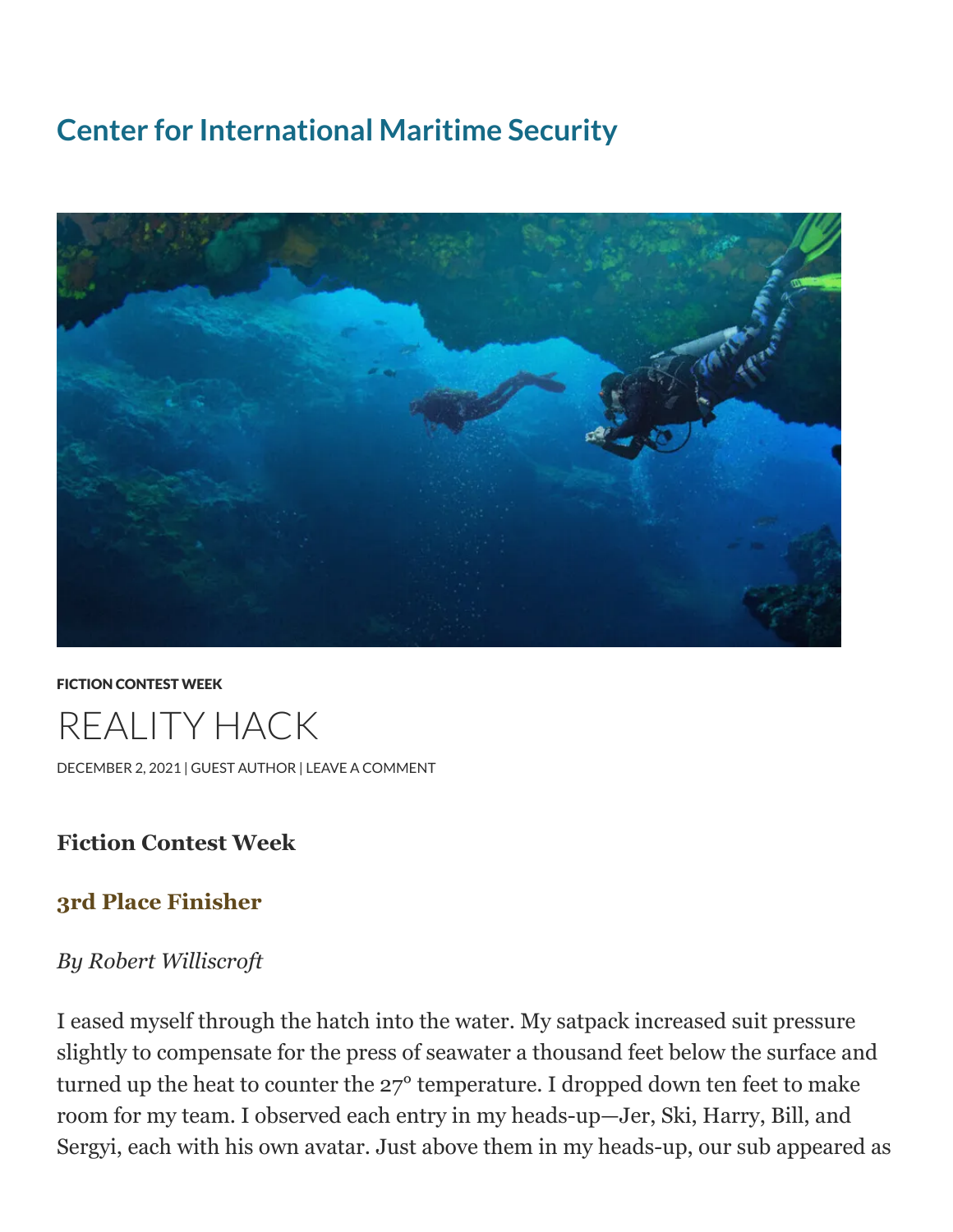## **Center for [International](https://cimsec.org/) Maritime Security**



FICTION [CONTEST](https://cimsec.org/category/fiction-contest-week/) WEEK REALITY HACK [DECEMBER](https://cimsec.org/?p=52020) 2, 2021 | GUEST [AUTHOR](https://cimsec.org/author/cim_poster/) | LEAVE A [COMMENT](https://cimsec.org/?p=52020#respond)

## **Fiction Contest Week**

## **3rd Place Finisher**

## *By Robert Williscroft*

I eased myself through the hatch into the water. My satpack increased suit pressure slightly to compensate for the press of seawater a thousand feet below the surface and turned up the heat to counter the 27° temperature. I dropped down ten feet to make room for my team. I observed each entry in my heads-up—Jer, Ski, Harry, Bill, and Sergyi, each with his own avatar. Just above them in my heads-up, our sub appeared as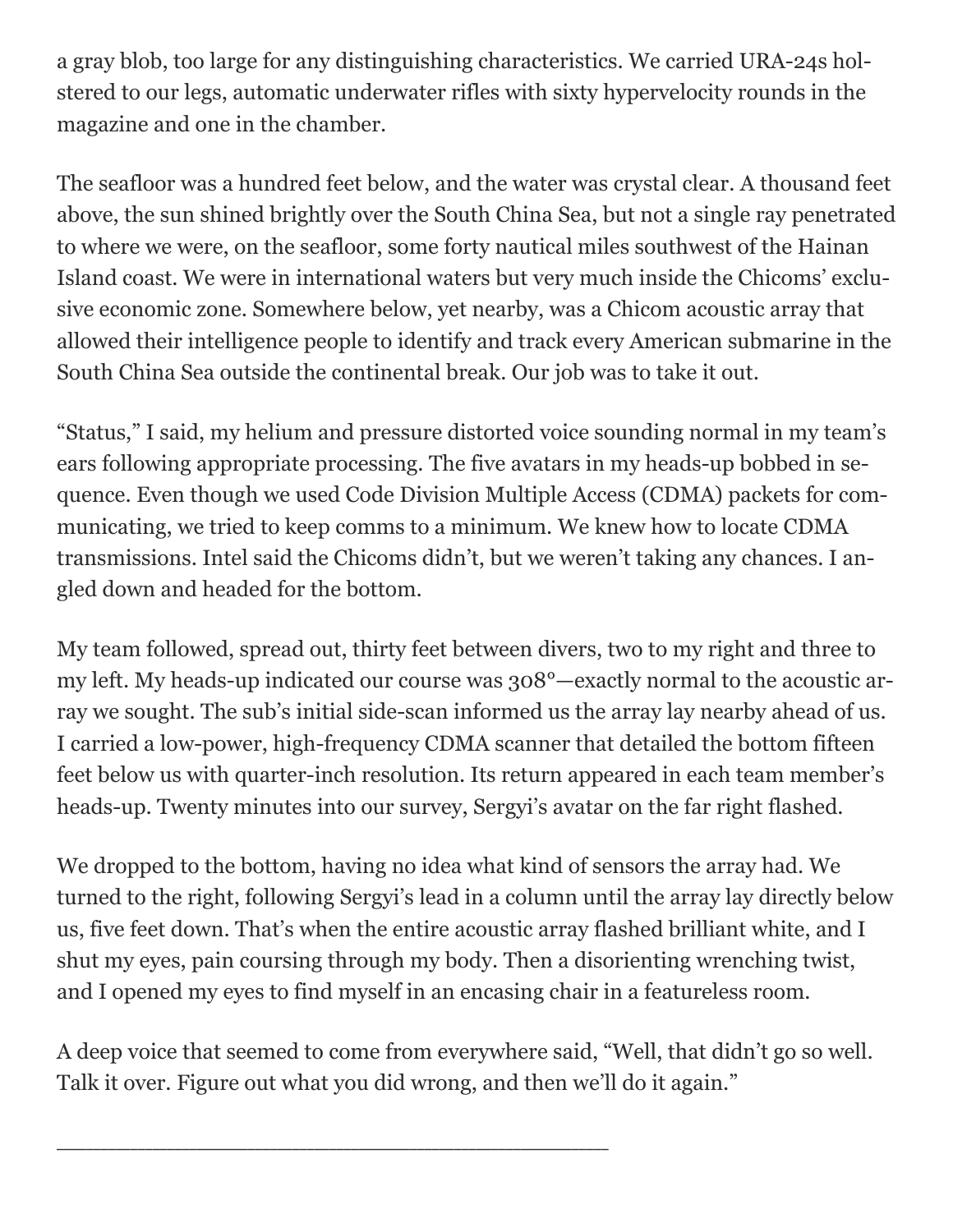a gray blob, too large for any distinguishing characteristics. We carried URA-24s holstered to our legs, automatic underwater rifles with sixty hypervelocity rounds in the magazine and one in the chamber.

The seafloor was a hundred feet below, and the water was crystal clear. A thousand feet above, the sun shined brightly over the South China Sea, but not a single ray penetrated to where we were, on the seafloor, some forty nautical miles southwest of the Hainan Island coast. We were in international waters but very much inside the Chicoms' exclusive economic zone. Somewhere below, yet nearby, was a Chicom acoustic array that allowed their intelligence people to identify and track every American submarine in the South China Sea outside the continental break. Our job was to take it out.

"Status," I said, my helium and pressure distorted voice sounding normal in my team's ears following appropriate processing. The five avatars in my heads-up bobbed in sequence. Even though we used Code Division Multiple Access (CDMA) packets for communicating, we tried to keep comms to a minimum. We knew how to locate CDMA transmissions. Intel said the Chicoms didn't, but we weren't taking any chances. I angled down and headed for the bottom.

My team followed, spread out, thirty feet between divers, two to my right and three to my left. My heads-up indicated our course was 308°—exactly normal to the acoustic array we sought. The sub's initial side-scan informed us the array lay nearby ahead of us. I carried a low-power, high-frequency CDMA scanner that detailed the bottom fifteen feet below us with quarter-inch resolution. Its return appeared in each team member's heads-up. Twenty minutes into our survey, Sergyi's avatar on the far right flashed.

We dropped to the bottom, having no idea what kind of sensors the array had. We turned to the right, following Sergyi's lead in a column until the array lay directly below us, five feet down. That's when the entire acoustic array flashed brilliant white, and I shut my eyes, pain coursing through my body. Then a disorienting wrenching twist, and I opened my eyes to find myself in an encasing chair in a featureless room.

A deep voice that seemed to come from everywhere said, "Well, that didn't go so well. Talk it over. Figure out what you did wrong, and then we'll do it again."

\_\_\_\_\_\_\_\_\_\_\_\_\_\_\_\_\_\_\_\_\_\_\_\_\_\_\_\_\_\_\_\_\_\_\_\_\_\_\_\_\_\_\_\_\_\_\_\_\_\_\_\_\_\_\_\_\_\_\_\_\_\_\_\_\_\_\_\_\_\_\_\_\_\_\_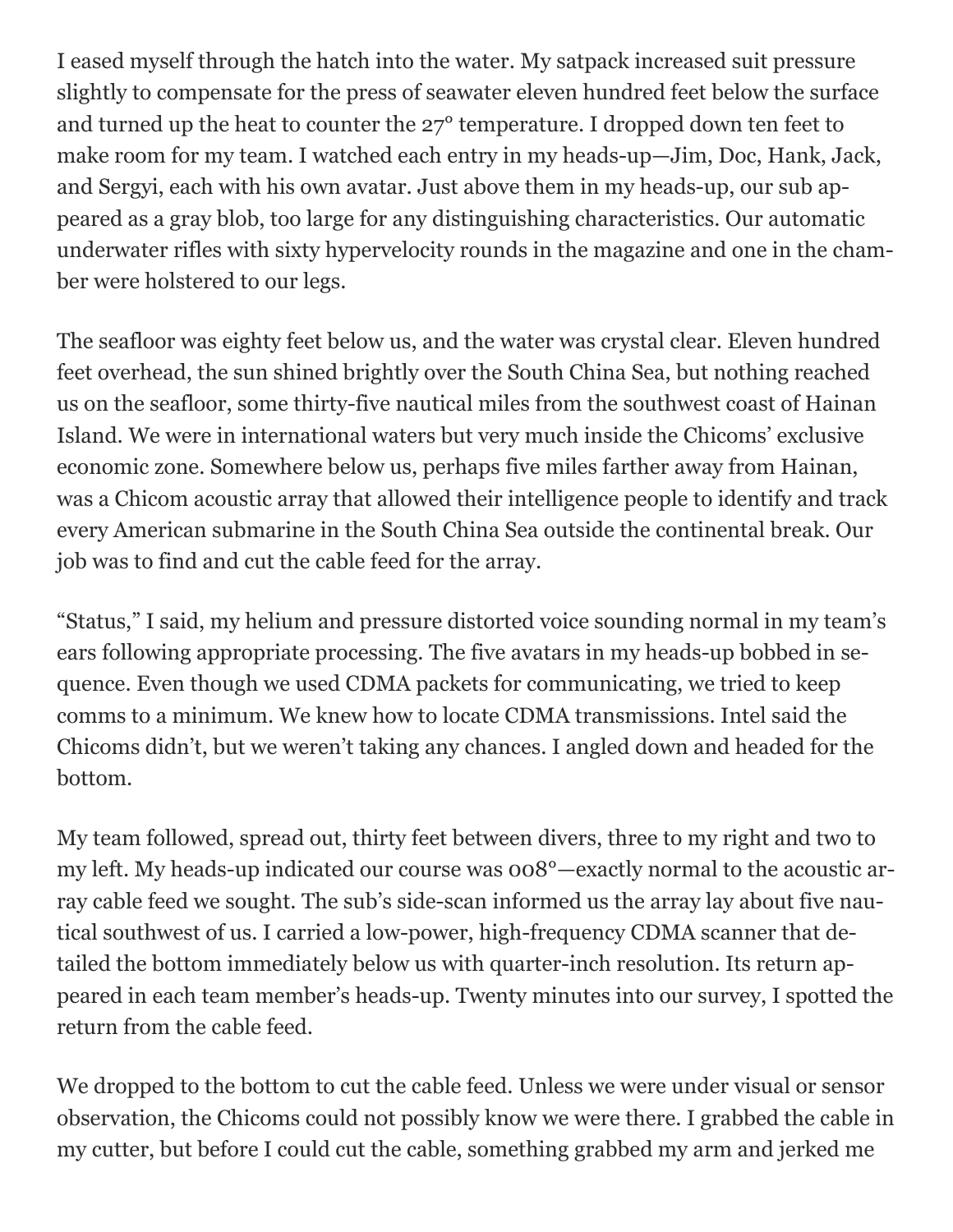I eased myself through the hatch into the water. My satpack increased suit pressure slightly to compensate for the press of seawater eleven hundred feet below the surface and turned up the heat to counter the 27° temperature. I dropped down ten feet to make room for my team. I watched each entry in my heads-up—Jim, Doc, Hank, Jack, and Sergyi, each with his own avatar. Just above them in my heads-up, our sub appeared as a gray blob, too large for any distinguishing characteristics. Our automatic underwater rifles with sixty hypervelocity rounds in the magazine and one in the chamber were holstered to our legs.

The seafloor was eighty feet below us, and the water was crystal clear. Eleven hundred feet overhead, the sun shined brightly over the South China Sea, but nothing reached us on the seafloor, some thirty-five nautical miles from the southwest coast of Hainan Island. We were in international waters but very much inside the Chicoms' exclusive economic zone. Somewhere below us, perhaps five miles farther away from Hainan, was a Chicom acoustic array that allowed their intelligence people to identify and track every American submarine in the South China Sea outside the continental break. Our job was to find and cut the cable feed for the array.

"Status," I said, my helium and pressure distorted voice sounding normal in my team's ears following appropriate processing. The five avatars in my heads-up bobbed in sequence. Even though we used CDMA packets for communicating, we tried to keep comms to a minimum. We knew how to locate CDMA transmissions. Intel said the Chicoms didn't, but we weren't taking any chances. I angled down and headed for the bottom.

My team followed, spread out, thirty feet between divers, three to my right and two to my left. My heads-up indicated our course was 008°—exactly normal to the acoustic array cable feed we sought. The sub's side-scan informed us the array lay about five nautical southwest of us. I carried a low-power, high-frequency CDMA scanner that detailed the bottom immediately below us with quarter-inch resolution. Its return appeared in each team member's heads-up. Twenty minutes into our survey, I spotted the return from the cable feed.

We dropped to the bottom to cut the cable feed. Unless we were under visual or sensor observation, the Chicoms could not possibly know we were there. I grabbed the cable in my cutter, but before I could cut the cable, something grabbed my arm and jerked me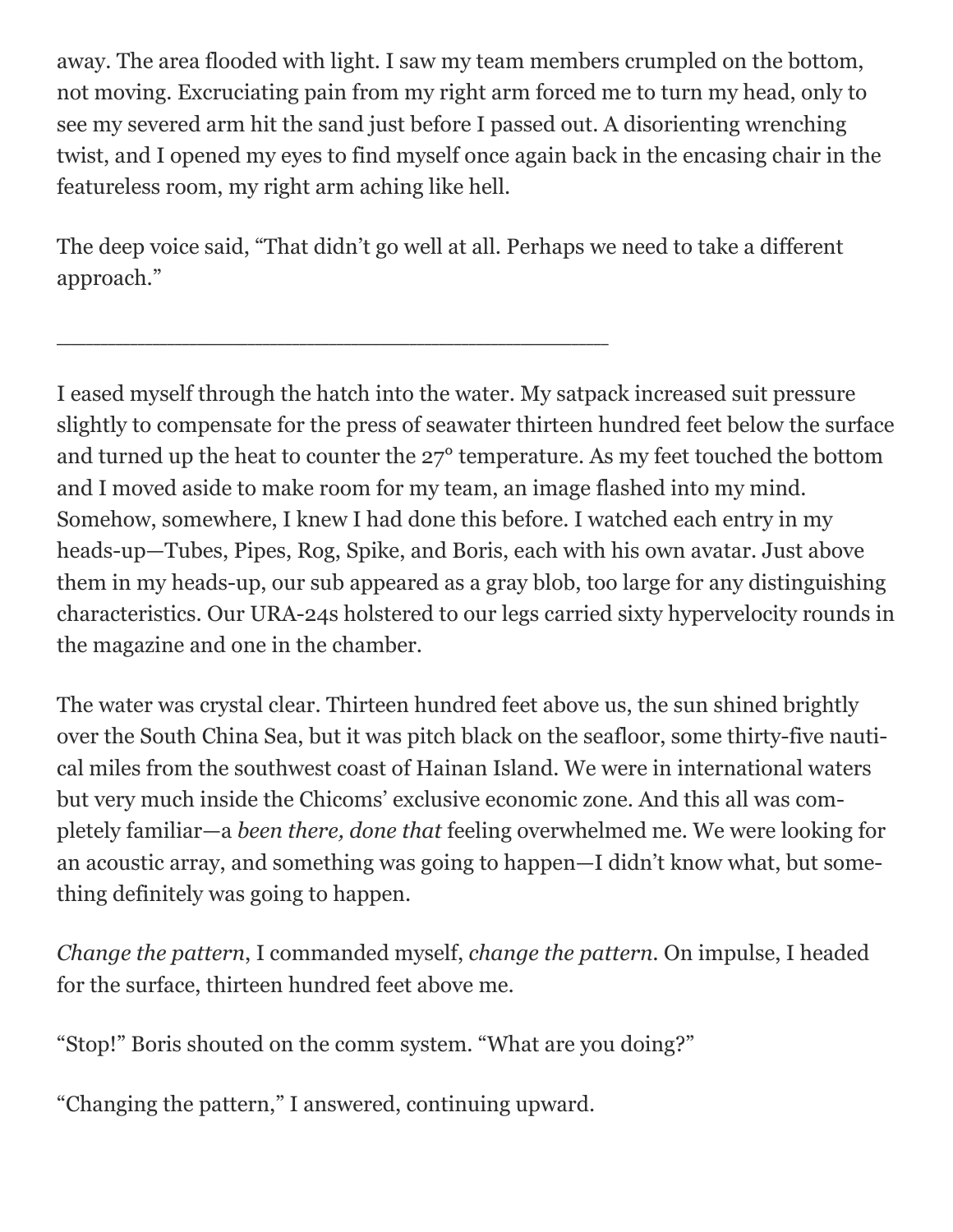away. The area flooded with light. I saw my team members crumpled on the bottom, not moving. Excruciating pain from my right arm forced me to turn my head, only to see my severed arm hit the sand just before I passed out. A disorienting wrenching twist, and I opened my eyes to find myself once again back in the encasing chair in the featureless room, my right arm aching like hell.

The deep voice said, "That didn't go well at all. Perhaps we need to take a different approach."

\_\_\_\_\_\_\_\_\_\_\_\_\_\_\_\_\_\_\_\_\_\_\_\_\_\_\_\_\_\_\_\_\_\_\_\_\_\_\_\_\_\_\_\_\_\_\_\_\_\_\_\_\_\_\_\_\_\_\_\_\_\_\_\_\_\_\_\_\_\_\_\_\_\_\_

I eased myself through the hatch into the water. My satpack increased suit pressure slightly to compensate for the press of seawater thirteen hundred feet below the surface and turned up the heat to counter the 27° temperature. As my feet touched the bottom and I moved aside to make room for my team, an image flashed into my mind. Somehow, somewhere, I knew I had done this before. I watched each entry in my heads-up—Tubes, Pipes, Rog, Spike, and Boris, each with his own avatar. Just above them in my heads-up, our sub appeared as a gray blob, too large for any distinguishing characteristics. Our URA-24s holstered to our legs carried sixty hypervelocity rounds in the magazine and one in the chamber.

The water was crystal clear. Thirteen hundred feet above us, the sun shined brightly over the South China Sea, but it was pitch black on the seafloor, some thirty-five nautical miles from the southwest coast of Hainan Island. We were in international waters but very much inside the Chicoms' exclusive economic zone. And this all was completely familiar—a *been there, done that* feeling overwhelmed me. We were looking for an acoustic array, and something was going to happen—I didn't know what, but something definitely was going to happen.

*Change the pattern*, I commanded myself, *change the pattern.* On impulse, I headed for the surface, thirteen hundred feet above me.

"Stop!" Boris shouted on the comm system. "What are you doing?"

"Changing the pattern," I answered, continuing upward.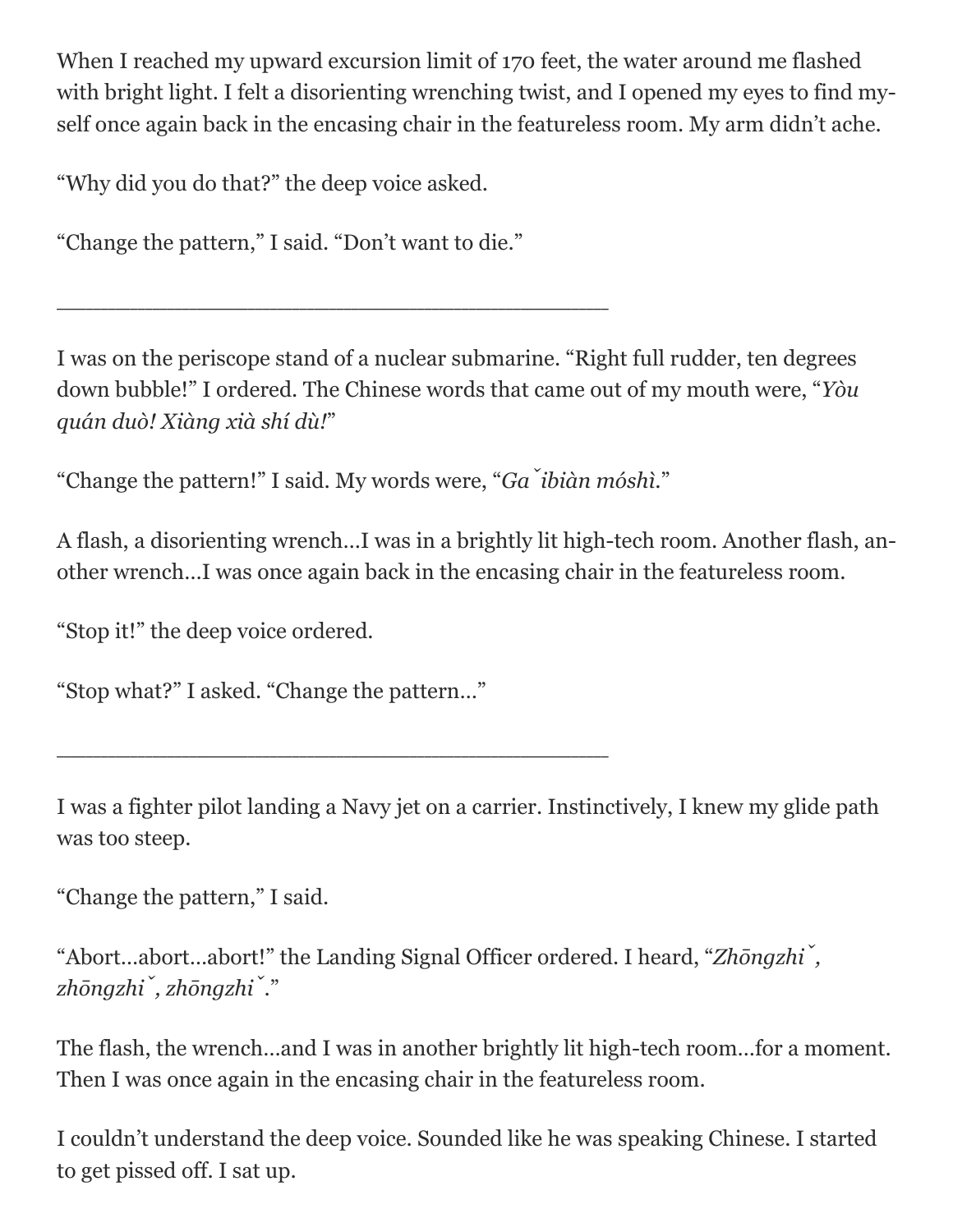When I reached my upward excursion limit of 170 feet, the water around me flashed with bright light. I felt a disorienting wrenching twist, and I opened my eyes to find myself once again back in the encasing chair in the featureless room. My arm didn't ache.

"Why did you do that?" the deep voice asked.

"Change the pattern," I said. "Don't want to die."

\_\_\_\_\_\_\_\_\_\_\_\_\_\_\_\_\_\_\_\_\_\_\_\_\_\_\_\_\_\_\_\_\_\_\_\_\_\_\_\_\_\_\_\_\_\_\_\_\_\_\_\_\_\_\_\_\_\_\_\_\_\_\_\_\_\_\_\_\_\_\_\_\_\_\_

I was on the periscope stand of a nuclear submarine. "Right full rudder, ten degrees down bubble!" I ordered. The Chinese words that came out of my mouth were, "*Yòu quán duò! Xiàng xià shí dù!*"

"Change the pattern!" I said. My words were, "*Gǎ ibiàn móshì*."

A flash, a disorienting wrench…I was in a brightly lit high-tech room. Another flash, another wrench…I was once again back in the encasing chair in the featureless room.

"Stop it!" the deep voice ordered.

"Stop what?" I asked. "Change the pattern…"

\_\_\_\_\_\_\_\_\_\_\_\_\_\_\_\_\_\_\_\_\_\_\_\_\_\_\_\_\_\_\_\_\_\_\_\_\_\_\_\_\_\_\_\_\_\_\_\_\_\_\_\_\_\_\_\_\_\_\_\_\_\_\_\_\_\_\_\_\_\_\_\_\_\_\_

I was a fighter pilot landing a Navy jet on a carrier. Instinctively, I knew my glide path was too steep.

"Change the pattern," I said.

"Abort…abort…abort!" the Landing Signal Officer ordered. I heard, "*Zhōngzhǐ , zhōngzhǐ , zhōngzhǐ* ."

The flash, the wrench…and I was in another brightly lit high-tech room…for a moment. Then I was once again in the encasing chair in the featureless room.

I couldn't understand the deep voice. Sounded like he was speaking Chinese. I started to get pissed off. I sat up.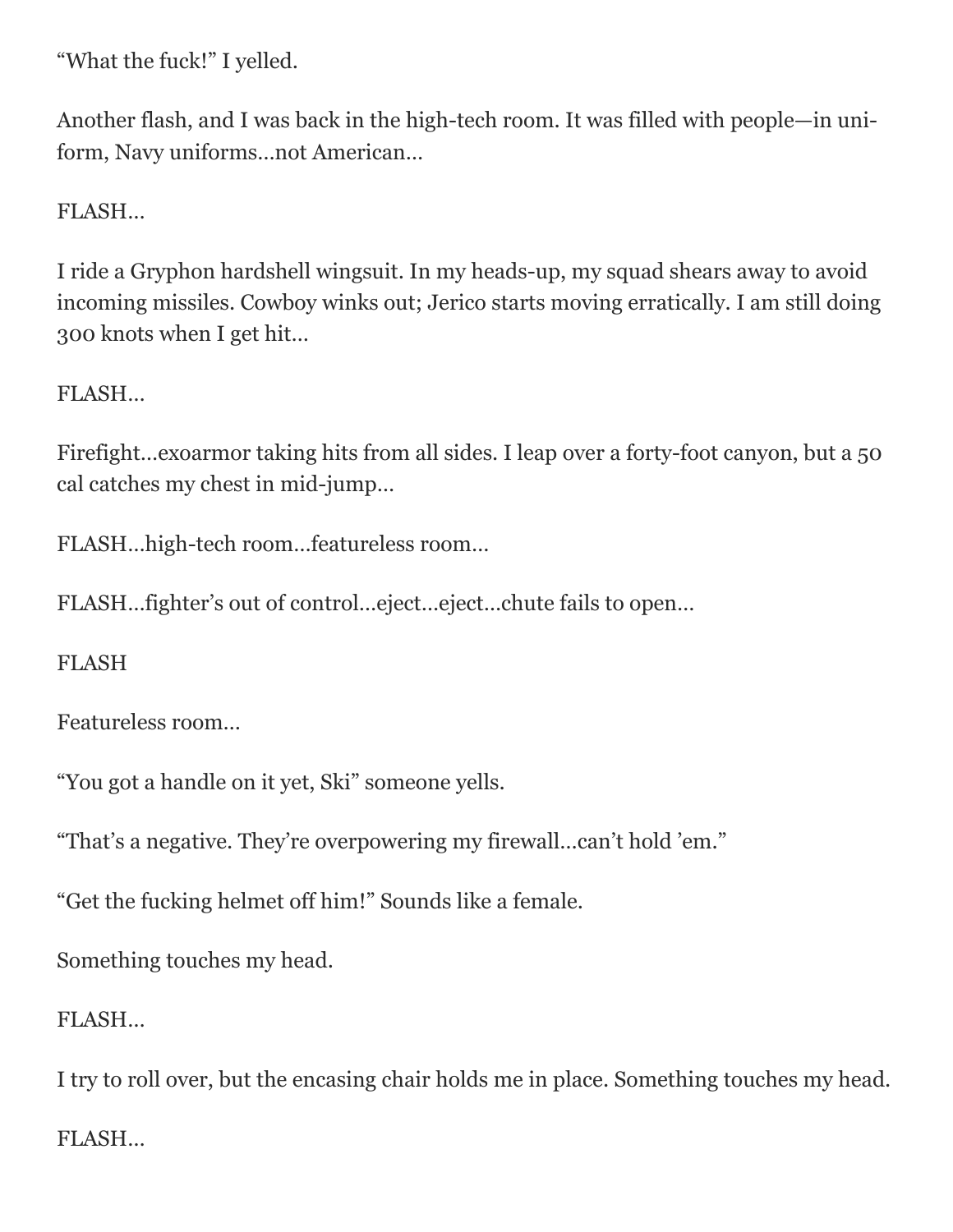"What the fuck!" I yelled.

Another flash, and I was back in the high-tech room. It was filled with people—in uniform, Navy uniforms…not American…

FLASH…

I ride a Gryphon hardshell wingsuit. In my heads-up, my squad shears away to avoid incoming missiles. Cowboy winks out; Jerico starts moving erratically. I am still doing 300 knots when I get hit…

FLASH…

Firefight…exoarmor taking hits from all sides. I leap over a forty-foot canyon, but a 50 cal catches my chest in mid-jump…

FLASH…high-tech room…featureless room…

FLASH…fighter's out of control…eject…eject…chute fails to open…

FLASH

Featureless room…

"You got a handle on it yet, Ski" someone yells.

"That's a negative. They're overpowering my firewall…can't hold 'em."

"Get the fucking helmet off him!" Sounds like a female.

Something touches my head.

FLASH…

I try to roll over, but the encasing chair holds me in place. Something touches my head. FLASH…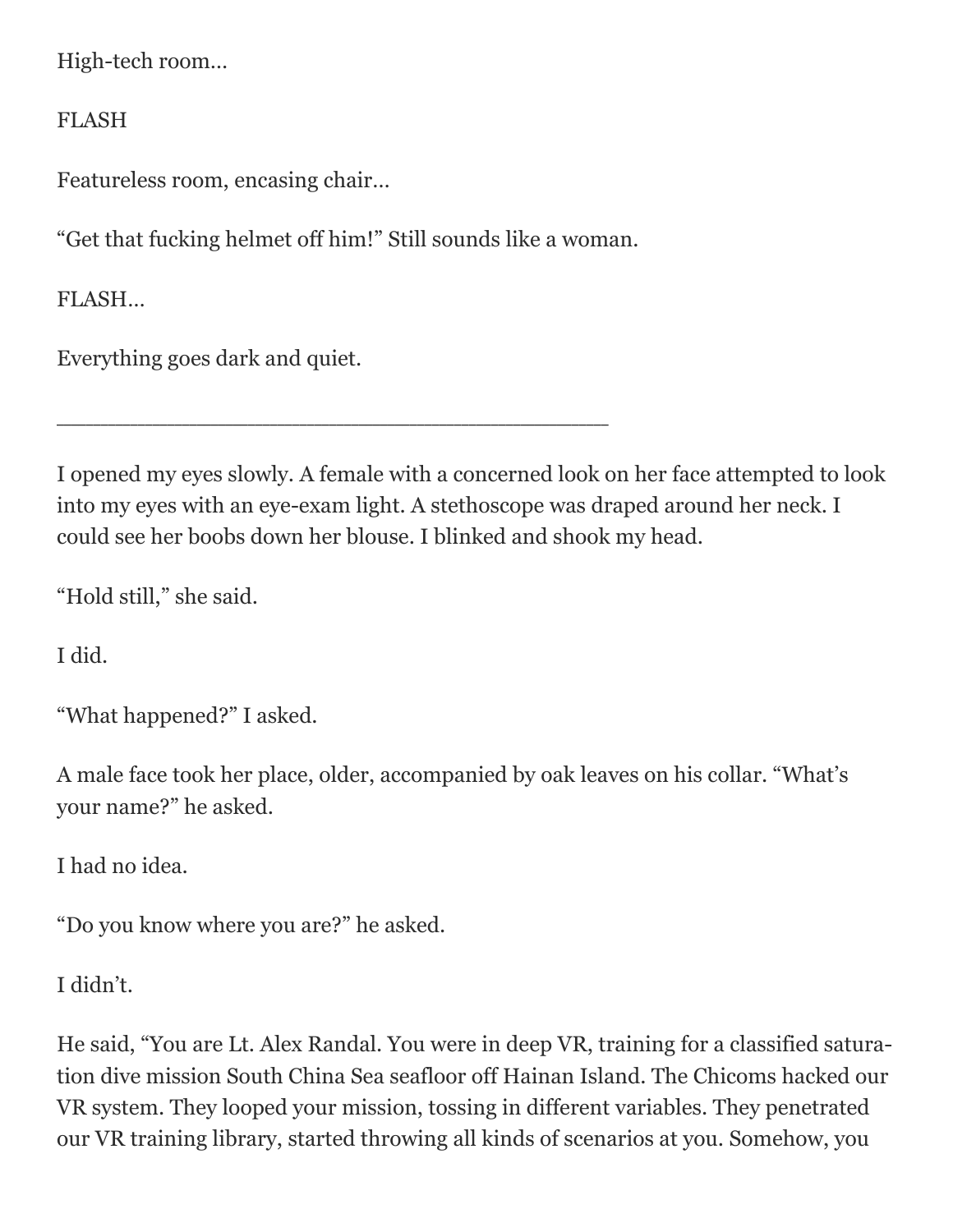High-tech room…

FLASH

Featureless room, encasing chair…

"Get that fucking helmet off him!" Still sounds like a woman.

\_\_\_\_\_\_\_\_\_\_\_\_\_\_\_\_\_\_\_\_\_\_\_\_\_\_\_\_\_\_\_\_\_\_\_\_\_\_\_\_\_\_\_\_\_\_\_\_\_\_\_\_\_\_\_\_\_\_\_\_\_\_\_\_\_\_\_\_\_\_\_\_\_\_\_

FLASH…

Everything goes dark and quiet.

I opened my eyes slowly. A female with a concerned look on her face attempted to look into my eyes with an eye-exam light. A stethoscope was draped around her neck. I could see her boobs down her blouse. I blinked and shook my head.

"Hold still," she said.

I did.

```
"What happened?" I asked.
```
A male face took her place, older, accompanied by oak leaves on his collar. "What's your name?" he asked.

I had no idea.

"Do you know where you are?" he asked.

I didn't.

He said, "You are Lt. Alex Randal. You were in deep VR, training for a classified saturation dive mission South China Sea seafloor off Hainan Island. The Chicoms hacked our VR system. They looped your mission, tossing in different variables. They penetrated our VR training library, started throwing all kinds of scenarios at you. Somehow, you